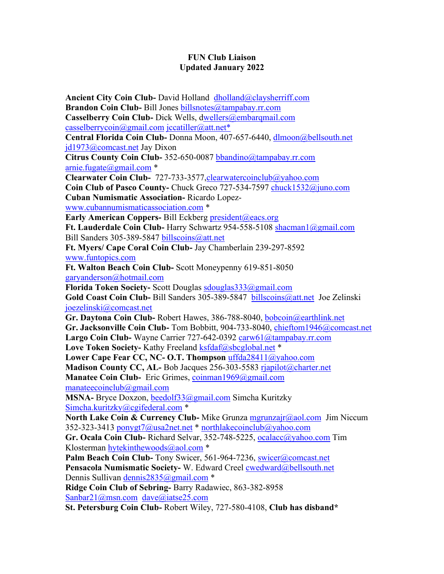## **FUN Club Liaison Updated January 2022**

**Ancient City Coin Club-** David Holland [dholland@claysherriff.com](mailto:dholland@claysherriff.com) **Brandon Coin Club-** Bill Jones [billsnotes@tampabay.rr.com](mailto:billsnotes@tampabay.rr.com) **Casselberry Coin Club-** Dick Wells, [dwellers@embarqmail.com](mailto:wellers@embarqmail.com) [casselberrycoin@gmail.com](mailto:casselberrycoin@gmail.com) [jccatiller@att.net\\*](mailto:jccatiller@att.net*) **Central Florida Coin Club-** Donna Moon, 407-657-6440, [dlmoon@bellsouth.net](mailto:dlm@bellsouth.net)  [jd1973@comcast.net](mailto:jd1973@comcast.net) Jay Dixon **Citrus County Coin Club-** 352-650-0087 [bbandino@tampabay.rr.com](mailto:bbandino@tampabay.rr.com) [arnie.fugate@gmail.com](mailto:arnie.fugate@gmail.com) \* **Clearwater Coin Club-** 727-733-3577[,clearwatercoinclub@yahoo.com](mailto:clearwatercoinclub@yahoo.com) **Coin Club of Pasco County-** Chuck Greco 727-534-7597 [chuck1532@juno.com](mailto:chuck1532@juno.com) **Cuban Numismatic Association-** Ricardo Lopez[www.cubannumismaticassociation.com](http://www.cubannumismaticassociation.com/) \* **Early American Coppers-** Bill Eckberg [president@eacs.org](mailto:president@eacs.org) **Ft. Lauderdale Coin Club-** Harry Schwartz 954-558-5108 [shacman1@gmail.com](mailto:shacman1@gmail.com) Bill Sanders 305-389-5847 [billscoins@att.net](mailto:billscoins@att.net) **Ft. Myers/ Cape Coral Coin Club-** Jay Chamberlain 239-297-8592 [www.funtopics.com](http://www.funtopics.com/) **Ft. Walton Beach Coin Club-** Scott Moneypenny 619-851-8050 [garyanderson@hotmail.com](mailto:garyanderson@hotmail.com) **Florida Token Society-** Scott Douglas [sdouglas333@gmail.com](mailto:sdouglas333@gmail.com) Gold Coast Coin Club-Bill Sanders 305-389-5847 [billscoins@att.net](mailto:billscoins@att.net) Joe Zelinski [joezelinski@comcast.net](mailto:joezelinski@comcast.net) **Gr. Daytona Coin Club-** Robert Hawes, 386-788-8040, [bobcoin@earthlink.net](mailto:bobcoin@earthlink.net) **Gr. Jacksonville Coin Club-** Tom Bobbitt, 904-733-8040, [chieftom1946@comcast.net](mailto:chieftom1946@comcast.net) **Largo Coin Club-** Wayne Carrier 727-642-0392 [carw61@tampabay.rr.com](mailto:carw61@tampabay.rr.com) Love Token Society- Kathy Freeland [ksfdaf@sbcglobal.net](mailto:ksfdaf@sbcglobal.net) \* **Lower Cape Fear CC, NC- O.T. Thompson** [uffda28411@yahoo.com](mailto:uffda28411@yahoo.com) **Madison County CC, AL-** Bob Jacques 256-303-5583 [rjapilot@charter.net](mailto:rjapilot@charter.net) **Manatee Coin Club-** Eric Grimes, [coinman1969@gmail.com](mailto:coinman1969@gmail.com) [manateecoinclub@gmail.com](mailto:manateecoinclub@gmail.com) **MSNA-** Bryce Doxzon, [beedolf33@gmail.com](mailto:beedolf33@gmail.com) Simcha Kuritzky [Simcha.kuritzky@cgifederal.com](mailto:Simcha.kuritzky@cgifederal.com) \* **North Lake Coin & Currency Club-** Mike Grunza [mgrunzajr@aol.com](mailto:mgrunzajr@aol.com) Jim Niccum 352-323-3413 [ponygt7@usa2net.net](mailto:ponygt7@usa2net.net) \* [northlakecoinclub@yahoo.com](mailto:northlakecoinclub@yahoo.com) **Gr. Ocala Coin Club-** Richard Selvar, 352-748-5225, [ocalacc@yahoo.com](mailto:ocalacc@yahoo.com) Tim Klosterman [hytekinthewoods@aol.com](mailto:hytekinthewoods@aol.com) \* **Palm Beach Coin Club-** Tony Swicer, 561-964-7236, [swicer@comcast.net](mailto:swicer@comcast.net) **Pensacola Numismatic Society-** W. Edward Creel [cwedward@bellsouth.net](mailto:cwedward@bellsouth.net)  Dennis Sullivan [dennis2835@gmail.com](mailto:dennis2835@gmail.com) \* **Ridge Coin Club of Sebring-** Barry Radawiec, 863-382-8958 [Sanbar21@msn.com](mailto:Sanbar21@msn.com) [dave@iatse25.com](mailto:dave@iatse25.com) **St. Petersburg Coin Club-** Robert Wiley, 727-580-4108, **Club has disband\***